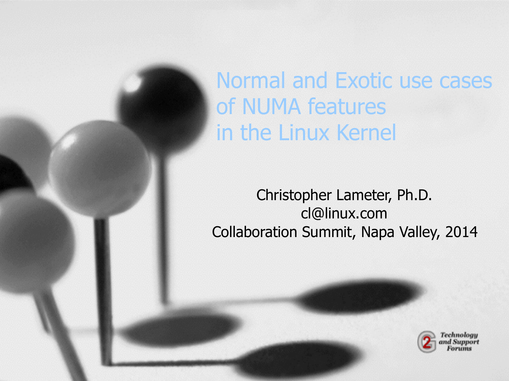Normal and Exotic use cases of NUMA features in the Linux Kernel

Christopher Lameter, Ph.D. cl@linux.com Collaboration Summit, Napa Valley, 2014

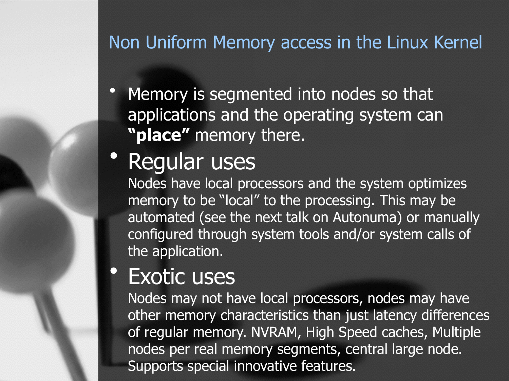#### Non Uniform Memory access in the Linux Kernel

• Memory is segmented into nodes so that applications and the operating system can **"place"** memory there.

## • Regular uses

Nodes have local processors and the system optimizes memory to be "local" to the processing. This may be automated (see the next talk on Autonuma) or manually configured through system tools and/or system calls of the application.

#### **Exotic uses**

Nodes may not have local processors, nodes may have other memory characteristics than just latency differences of regular memory. NVRAM, High Speed caches, Multiple nodes per real memory segments, central large node. Supports special innovative features.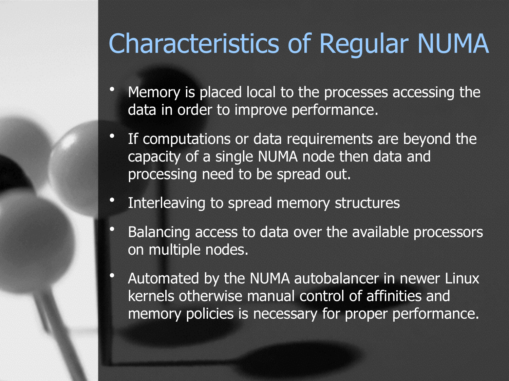## Characteristics of Regular NUMA

- Memory is placed local to the processes accessing the data in order to improve performance.
- If computations or data requirements are beyond the capacity of a single NUMA node then data and processing need to be spread out.
- Interleaving to spread memory structures
- Balancing access to data over the available processors on multiple nodes.
- Automated by the NUMA autobalancer in newer Linux kernels otherwise manual control of affinities and memory policies is necessary for proper performance.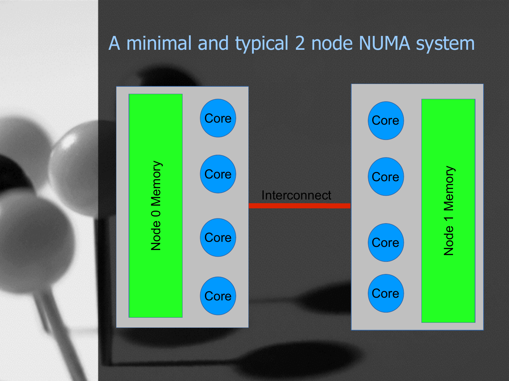#### A minimal and typical 2 node NUMA system

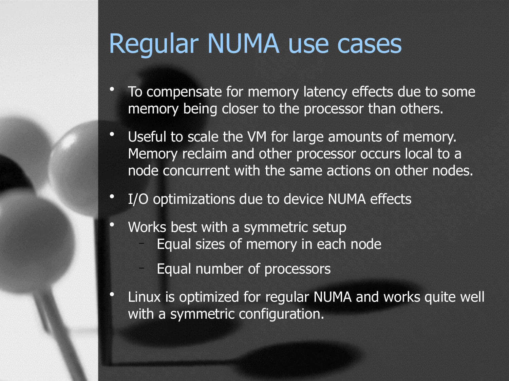## Regular NUMA use cases

- To compensate for memory latency effects due to some memory being closer to the processor than others.
- Useful to scale the VM for large amounts of memory. Memory reclaim and other processor occurs local to a node concurrent with the same actions on other nodes.
- I/O optimizations due to device NUMA effects
- Works best with a symmetric setup
	- Equal sizes of memory in each node
	- Equal number of processors
- Linux is optimized for regular NUMA and works quite well with a symmetric configuration.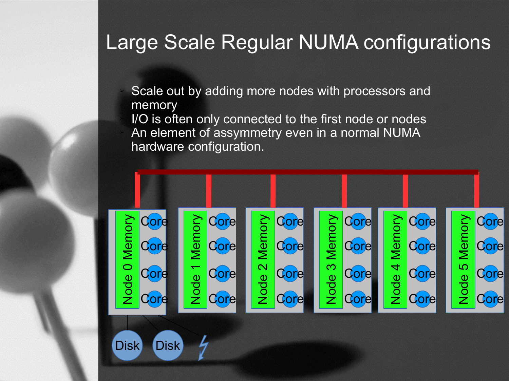#### Large Scale Regular NUMA configurations

Scale out by adding more nodes with processors and memory I/O is often only connected to the first node or nodes An element of assymmetry even in a normal NUMA hardware configuration.

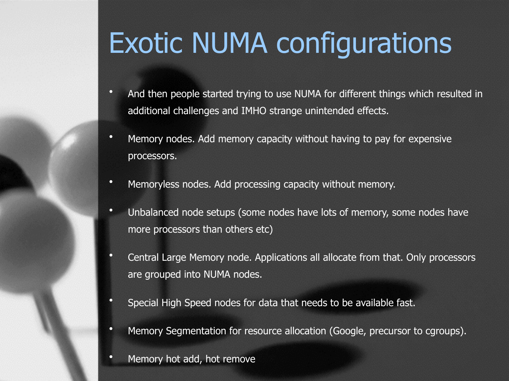## Exotic NUMA configurations

- And then people started trying to use NUMA for different things which resulted in additional challenges and IMHO strange unintended effects.
- Memory nodes. Add memory capacity without having to pay for expensive processors.
- Memoryless nodes. Add processing capacity without memory.
- Unbalanced node setups (some nodes have lots of memory, some nodes have more processors than others etc)
- Central Large Memory node. Applications all allocate from that. Only processors are grouped into NUMA nodes.
- Special High Speed nodes for data that needs to be available fast.
- Memory Segmentation for resource allocation (Google, precursor to cgroups).
- Memory hot add, hot remove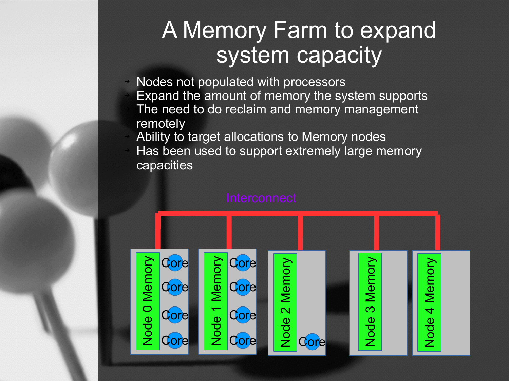### A Memory Farm to expand system capacity

➔ Nodes not populated with processors ➔ Expand the amount of memory the system supports The need to do reclaim and memory management remotely

➔ Ability to target allocations to Memory nodes Has been used to support extremely large memory capacities

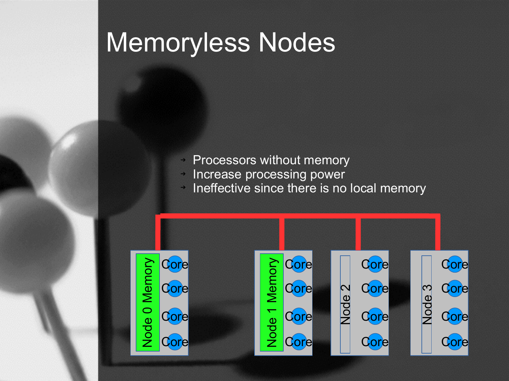## Memoryless Nodes

- ➔ Processors without memory
- ➔ Increase processing power
- ➔ Ineffective since there is no local memory

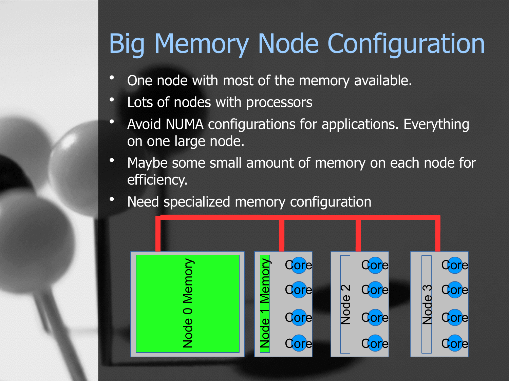## Big Memory Node Configuration

- One node with most of the memory available.
- Lots of nodes with processors
- Avoid NUMA configurations for applications. Everything on one large node.
- Maybe some small amount of memory on each node for efficiency.
- Need specialized memory configuration

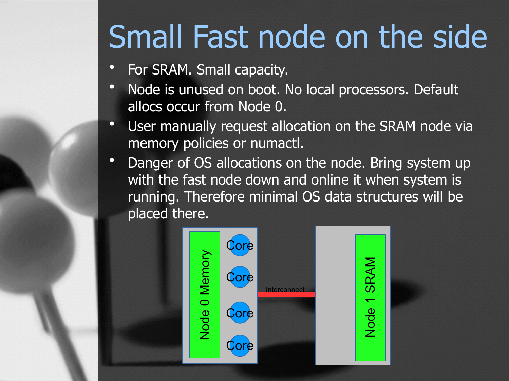# Small Fast node on the side

- For SRAM. Small capacity.
- Node is unused on boot. No local processors. Default allocs occur from Node 0.
- User manually request allocation on the SRAM node via memory policies or numactl.
- Danger of OS allocations on the node. Bring system up with the fast node down and online it when system is running. Therefore minimal OS data structures will be placed there.

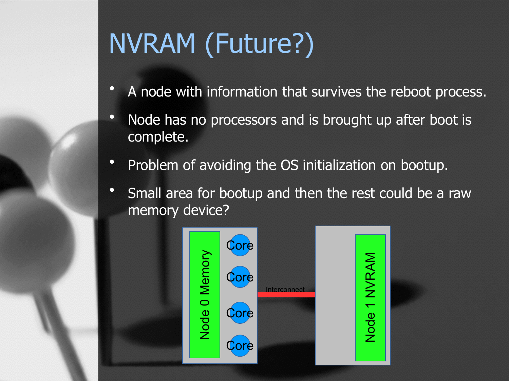## NVRAM (Future?)

- A node with information that survives the reboot process.
- Node has no processors and is brought up after boot is complete.
- Problem of avoiding the OS initialization on bootup.
- Small area for bootup and then the rest could be a raw memory device?